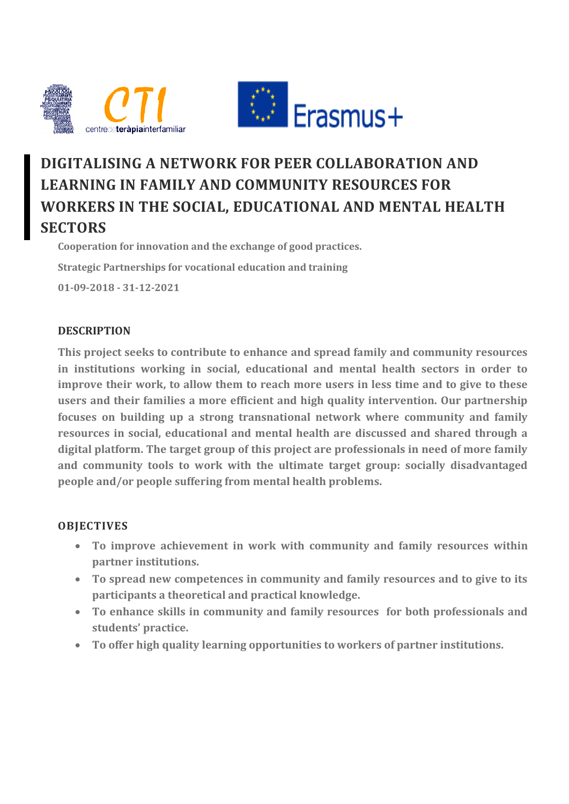

# **DIGITALISING A NETWORK FOR PEER COLLABORATION AND LEARNING IN FAMILY AND COMMUNITY RESOURCES FOR WORKERS IN THE SOCIAL, EDUCATIONAL AND MENTAL HEALTH SECTORS**

**Cooperation for innovation and the exchange of good practices. Strategic Partnerships for vocational education and training 01-09-2018 - 31-12-2021**

# **DESCRIPTION**

**This project seeks to contribute to enhance and spread family and community resources in institutions working in social, educational and mental health sectors in order to improve their work, to allow them to reach more users in less time and to give to these users and their families a more efficient and high quality intervention. Our partnership focuses on building up a strong transnational network where community and family resources in social, educational and mental health are discussed and shared through a digital platform. The target group of this project are professionals in need of more family and community tools to work with the ultimate target group: socially disadvantaged people and/or people suffering from mental health problems.**

# **OBJECTIVES**

- **To improve achievement in work with community and family resources within partner institutions.**
- **To spread new competences in community and family resources and to give to its participants a theoretical and practical knowledge.**
- **To enhance skills in community and family resources for both professionals and students' practice.**
- **To offer high quality learning opportunities to workers of partner institutions.**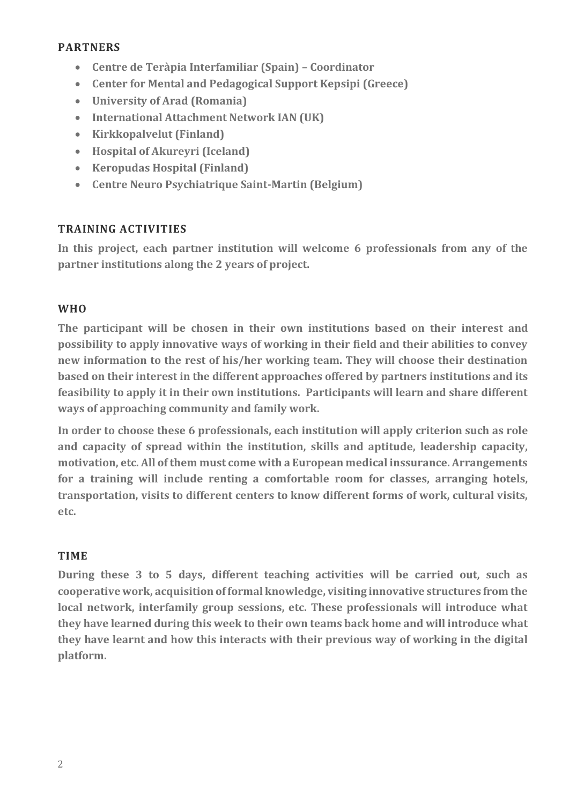#### **PARTNERS**

- **Centre de Teràpia Interfamiliar (Spain) – Coordinator**
- **Center for Mental and Pedagogical Support Kepsipi (Greece)**
- **University of Arad (Romania)**
- **International Attachment Network IAN (UK)**
- **Kirkkopalvelut (Finland)**
- **Hospital of Akureyri (Iceland)**
- **Keropudas Hospital (Finland)**
- **Centre Neuro Psychiatrique Saint-Martin (Belgium)**

# **TRAINING ACTIVITIES**

**In this project, each partner institution will welcome 6 professionals from any of the partner institutions along the 2 years of project.** 

# **WHO**

**The participant will be chosen in their own institutions based on their interest and possibility to apply innovative ways of working in their field and their abilities to convey new information to the rest of his/her working team. They will choose their destination based on their interest in the different approaches offered by partners institutions and its feasibility to apply it in their own institutions. Participants will learn and share different ways of approaching community and family work.** 

**In order to choose these 6 professionals, each institution will apply criterion such as role and capacity of spread within the institution, skills and aptitude, leadership capacity, motivation, etc. All of them must come with a European medical inssurance. Arrangements for a training will include renting a comfortable room for classes, arranging hotels, transportation, visits to different centers to know different forms of work, cultural visits, etc.**

# **TIME**

**During these 3 to 5 days, different teaching activities will be carried out, such as cooperative work, acquisition of formal knowledge, visiting innovative structures from the local network, interfamily group sessions, etc. These professionals will introduce what they have learned during this week to their own teams back home and will introduce what they have learnt and how this interacts with their previous way of working in the digital platform.**